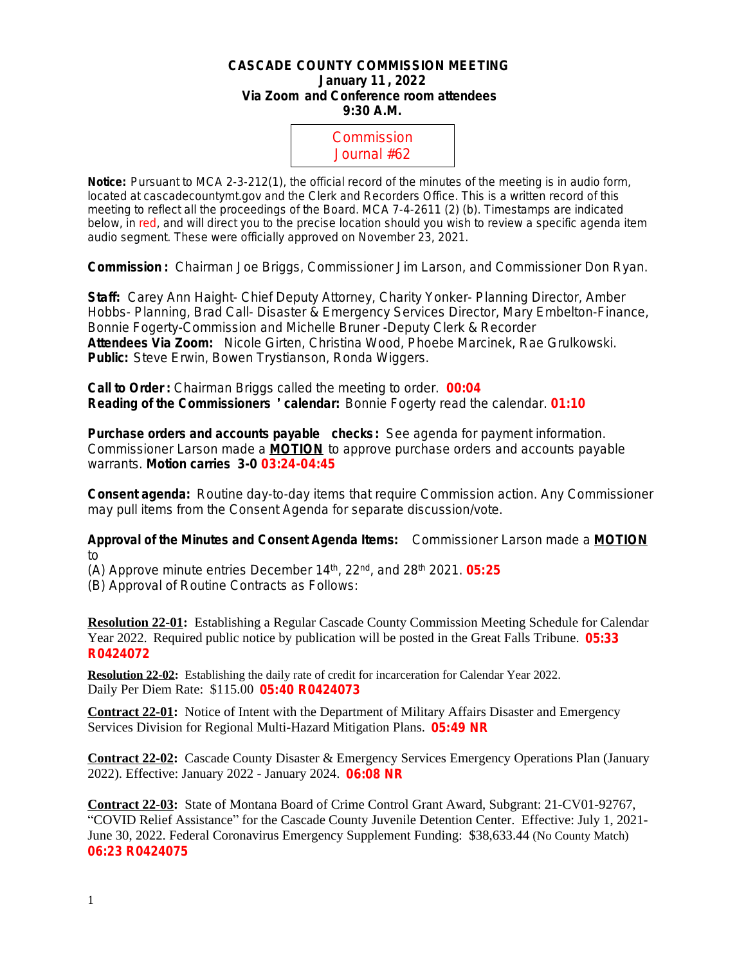## **CASCADE COUNTY COMMISSION MEETING January 11 , 2022 Via Zoom and Conference room attendees 9:30 A.M.**



**Notice:** Pursuant to MCA 2-3-212(1), the official record of the minutes of the meeting is in audio form, located at cascadecountymt.gov and the Clerk and Recorders Office. This is a written record of this meeting to reflect all the proceedings of the Board. MCA 7-4-2611 (2) (b). Timestamps are indicated below, in red, and will direct you to the precise location should you wish to review a specific agenda item audio segment. These were officially approved on November 23, 2021.

**Commission :** Chairman Joe Briggs, Commissioner Jim Larson, and Commissioner Don Ryan.

**Staff:** Carey Ann Haight- Chief Deputy Attorney, Charity Yonker- Planning Director, Amber Hobbs- Planning, Brad Call- Disaster & Emergency Services Director, Mary Embelton-Finance, Bonnie Fogerty-Commission and Michelle Bruner -Deputy Clerk & Recorder **Attendees Via Zoom:** Nicole Girten, Christina Wood, Phoebe Marcinek, Rae Grulkowski. **Public:** Steve Erwin, Bowen Trystianson, Ronda Wiggers.

**Call to Order :** Chairman Briggs called the meeting to order. **00:04 Reading of the Commissioners** ' **calendar:** Bonnie Fogerty read the calendar. **01:10**

**Purchase orders and accounts payable checks:** *See agenda for payment information.* Commissioner Larson made a **MOTION** to approve purchase orders and accounts payable warrants. **Motion carries 3-0 03:24-04:45**

**Consent agenda:** Routine day-to-day items that require Commission action. Any Commissioner may pull items from the Consent Agenda for separate discussion/vote.

**Approval of the Minutes and Consent Agenda Items:** Commissioner Larson made a **MOTION** to

(A) Approve minute entries December 14th, 22nd, and 28th 2021. **05:25**

(B) Approval of Routine Contracts as Follows:

**Resolution 22-01:** Establishing a Regular Cascade County Commission Meeting Schedule for Calendar Year 2022. Required public notice by publication will be posted in the Great Falls Tribune. **05:33 R0424072**

**Resolution 22-02:** Establishing the daily rate of credit for incarceration for Calendar Year 2022. Daily Per Diem Rate: \$115.00 **05:40 R0424073**

**Contract 22-01:** Notice of Intent with the Department of Military Affairs Disaster and Emergency Services Division for Regional Multi-Hazard Mitigation Plans. **05:49 NR**

**Contract 22-02:** Cascade County Disaster & Emergency Services Emergency Operations Plan (January 2022). Effective: January 2022 - January 2024. **06:08 NR**

**Contract 22-03:** State of Montana Board of Crime Control Grant Award, Subgrant: 21-CV01-92767, "COVID Relief Assistance" for the Cascade County Juvenile Detention Center. Effective: July 1, 2021- June 30, 2022. Federal Coronavirus Emergency Supplement Funding: \$38,633.44 (No County Match) **06:23 R0424075**